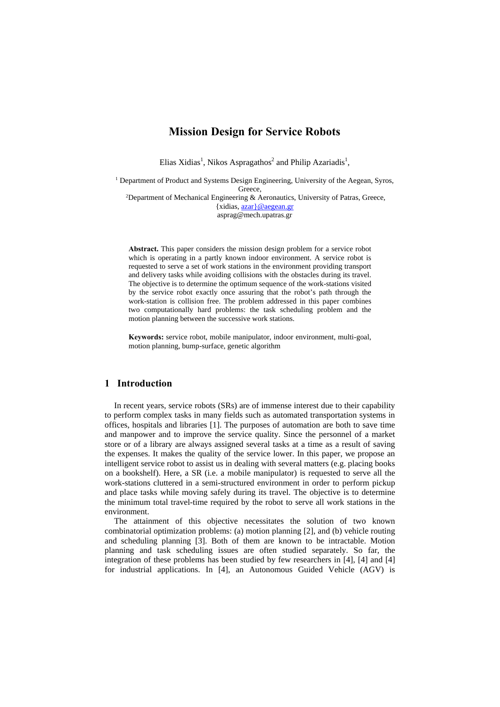# **Mission Design for Service Robots**

Elias Xidias<sup>1</sup>, Nikos Aspragathos<sup>2</sup> and Philip Azariadis<sup>1</sup>,

<sup>1</sup> Department of Product and Systems Design Engineering, University of the Aegean, Syros, Greece,<br>
<sup>2</sup>Department of Mechanical Engineering & Aeronautics, University of Patras, Greece,

{xidias, azar}@aegean.gr asprag@mech.upatras.gr

**Abstract.** This paper considers the mission design problem for a service robot which is operating in a partly known indoor environment. A service robot is requested to serve a set of work stations in the environment providing transport and delivery tasks while avoiding collisions with the obstacles during its travel. The objective is to determine the optimum sequence of the work-stations visited by the service robot exactly once assuring that the robot's path through the work-station is collision free. The problem addressed in this paper combines two computationally hard problems: the task scheduling problem and the motion planning between the successive work stations.

**Keywords:** service robot, mobile manipulator, indoor environment, multi-goal, motion planning, bump-surface, genetic algorithm

## **1 Introduction**

In recent years, service robots (SRs) are of immense interest due to their capability to perform complex tasks in many fields such as automated transportation systems in offices, hospitals and libraries [1]. The purposes of automation are both to save time and manpower and to improve the service quality. Since the personnel of a market store or of a library are always assigned several tasks at a time as a result of saving the expenses. It makes the quality of the service lower. In this paper, we propose an intelligent service robot to assist us in dealing with several matters (e.g. placing books on a bookshelf). Here, a SR (i.e. a mobile manipulator) is requested to serve all the work-stations cluttered in a semi-structured environment in order to perform pickup and place tasks while moving safely during its travel. The objective is to determine the minimum total travel-time required by the robot to serve all work stations in the environment.

The attainment of this objective necessitates the solution of two known combinatorial optimization problems: (a) motion planning [2], and (b) vehicle routing and scheduling planning [3]. Both of them are known to be intractable. Motion planning and task scheduling issues are often studied separately. So far, the integration of these problems has been studied by few researchers in [4], [4] and [4] for industrial applications. In [4], an Autonomous Guided Vehicle (AGV) is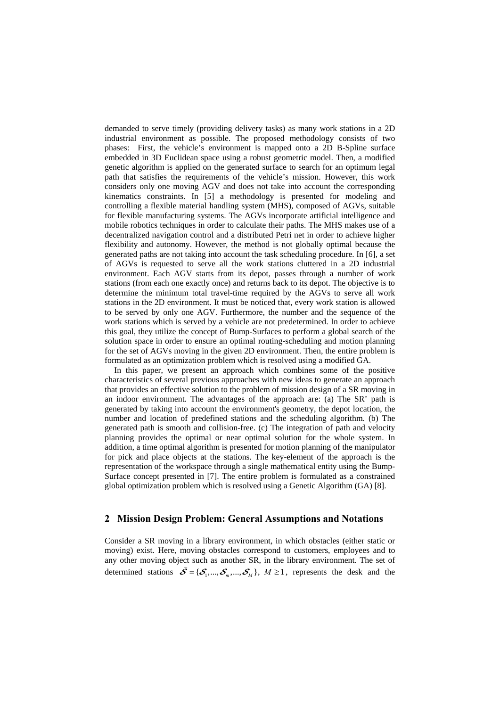demanded to serve timely (providing delivery tasks) as many work stations in a 2D industrial environment as possible. The proposed methodology consists of two phases: First, the vehicle's environment is mapped onto a 2D B-Spline surface embedded in 3D Euclidean space using a robust geometric model. Then, a modified genetic algorithm is applied on the generated surface to search for an optimum legal path that satisfies the requirements of the vehicle's mission. However, this work considers only one moving AGV and does not take into account the corresponding kinematics constraints. In [5] a methodology is presented for modeling and controlling a flexible material handling system (MHS), composed of AGVs, suitable for flexible manufacturing systems. The AGVs incorporate artificial intelligence and mobile robotics techniques in order to calculate their paths. The MHS makes use of a decentralized navigation control and a distributed Petri net in order to achieve higher flexibility and autonomy. However, the method is not globally optimal because the generated paths are not taking into account the task scheduling procedure. In [6], a set of AGVs is requested to serve all the work stations cluttered in a 2D industrial environment. Each AGV starts from its depot, passes through a number of work stations (from each one exactly once) and returns back to its depot. The objective is to determine the minimum total travel-time required by the AGVs to serve all work stations in the 2D environment. It must be noticed that, every work station is allowed to be served by only one AGV. Furthermore, the number and the sequence of the work stations which is served by a vehicle are not predetermined. In order to achieve this goal, they utilize the concept of Bump-Surfaces to perform a global search of the solution space in order to ensure an optimal routing-scheduling and motion planning for the set of AGVs moving in the given 2D environment. Then, the entire problem is formulated as an optimization problem which is resolved using a modified GA.

In this paper, we present an approach which combines some of the positive characteristics of several previous approaches with new ideas to generate an approach that provides an effective solution to the problem of mission design of a SR moving in an indoor environment. The advantages of the approach are: (a) The SR' path is generated by taking into account the environment's geometry, the depot location, the number and location of predefined stations and the scheduling algorithm. (b) The generated path is smooth and collision-free. (c) The integration of path and velocity planning provides the optimal or near optimal solution for the whole system. In addition, a time optimal algorithm is presented for motion planning of the manipulator for pick and place objects at the stations. The key-element of the approach is the representation of the workspace through a single mathematical entity using the Bump-Surface concept presented in [7]. The entire problem is formulated as a constrained global optimization problem which is resolved using a Genetic Algorithm (GA) [8].

## **2 Mission Design Problem: General Assumptions and Notations**

Consider a SR moving in a library environment, in which obstacles (either static or moving) exist. Here, moving obstacles correspond to customers, employees and to any other moving object such as another SR, in the library environment. The set of determined stations  $\hat{\mathcal{S}} = {\{\mathcal{S}_1, ..., \mathcal{S}_m, ..., \mathcal{S}_M\}}$ ,  $M \ge 1$ , represents the desk and the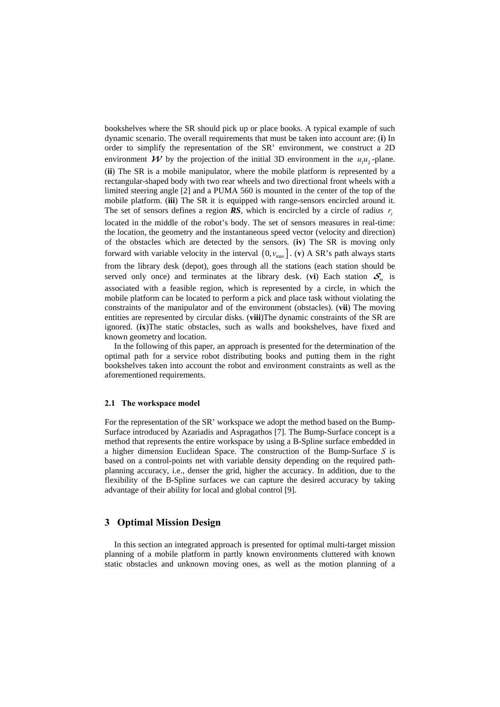bookshelves where the SR should pick up or place books. A typical example of such dynamic scenario. The overall requirements that must be taken into account are: (**i**) In order to simplify the representation of the SR' environment, we construct a 2D environment  $\mathcal W$  by the projection of the initial 3D environment in the  $u_1 u_2$ -plane. (**ii**) The SR is a mobile manipulator, where the mobile platform is represented by a rectangular-shaped body with two rear wheels and two directional front wheels with a limited steering angle [2] and a PUMA 560 is mounted in the center of the top of the mobile platform. (**iii**) The SR it is equipped with range-sensors encircled around it. The set of sensors defines a region  $RS$ , which is encircled by a circle of radius  $r<sub>s</sub>$ located in the middle of the robot's body. The set of sensors measures in real-time: the location, the geometry and the instantaneous speed vector (velocity and direction) of the obstacles which are detected by the sensors. (**iv**) The SR is moving only forward with variable velocity in the interval  $(0, v_{max}]$ . (**v**) A SR's path always starts from the library desk (depot), goes through all the stations (each station should be served only once) and terminates at the library desk. (**vi**) Each station  $S_m$  is associated with a feasible region, which is represented by a circle, in which the mobile platform can be located to perform a pick and place task without violating the constraints of the manipulator and of the environment (obstacles). (**vii**) The moving entities are represented by circular disks. (**viii**)The dynamic constraints of the SR are ignored. (**ix**)The static obstacles, such as walls and bookshelves, have fixed and known geometry and location.

In the following of this paper, an approach is presented for the determination of the optimal path for a service robot distributing books and putting them in the right bookshelves taken into account the robot and environment constraints as well as the aforementioned requirements.

#### **2.1 The workspace model**

For the representation of the SR' workspace we adopt the method based on the Bump-Surface introduced by Azariadis and Aspragathos [7]. The Bump-Surface concept is a method that represents the entire workspace by using a B-Spline surface embedded in a higher dimension Euclidean Space. The construction of the Bump-Surface *S* is based on a control-points net with variable density depending on the required pathplanning accuracy, i.e., denser the grid, higher the accuracy. In addition, due to the flexibility of the B-Spline surfaces we can capture the desired accuracy by taking advantage of their ability for local and global control [9].

### **3 Optimal Mission Design**

In this section an integrated approach is presented for optimal multi-target mission planning of a mobile platform in partly known environments cluttered with known static obstacles and unknown moving ones, as well as the motion planning of a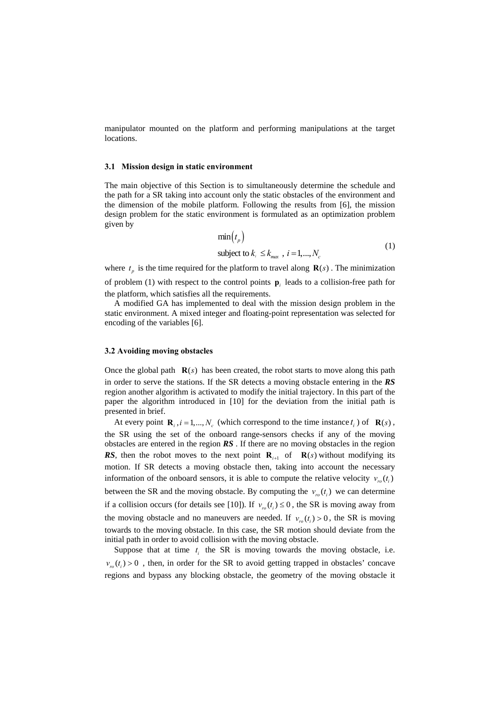manipulator mounted on the platform and performing manipulations at the target locations.

#### **3.1 Mission design in static environment**

The main objective of this Section is to simultaneously determine the schedule and the path for a SR taking into account only the static obstacles of the environment and the dimension of the mobile platform. Following the results from [6], the mission design problem for the static environment is formulated as an optimization problem given by

$$
\min(t_p)
$$
  
subject to  $k_i \le k_{max}$ ,  $i = 1,..., N_c$  (1)

where  $t_p$  is the time required for the platform to travel along  $\mathbf{R}(s)$ . The minimization of problem (1) with respect to the control points **p***i* leads to a collision-free path for the platform, which satisfies all the requirements.

A modified GA has implemented to deal with the mission design problem in the static environment. A mixed integer and floating-point representation was selected for encoding of the variables [6].

#### **3.2 Avoiding moving obstacles**

Once the global path  $\mathbf{R}(s)$  has been created, the robot starts to move along this path in order to serve the stations. If the SR detects a moving obstacle entering in the *RS* region another algorithm is activated to modify the initial trajectory. In this part of the paper the algorithm introduced in [10] for the deviation from the initial path is presented in brief.

At every point  $\mathbf{R}_i$ ,  $i = 1,..., N_c$  (which correspond to the time instance  $t_i$ ) of  $\mathbf{R}(s)$ , the SR using the set of the onboard range-sensors checks if any of the moving obstacles are entered in the region *RS* . If there are no moving obstacles in the region **RS**, then the robot moves to the next point **R**<sub>*i*<sup>11</sup></sub> of **R**(*s*) without modifying its motion. If SR detects a moving obstacle then, taking into account the necessary information of the onboard sensors, it is able to compute the relative velocity  $v_{r_0}(t_i)$ between the SR and the moving obstacle. By computing the  $v_{r}$  ( $t_i$ ) we can determine if a collision occurs (for details see [10]). If  $v_{r_0}(t) \le 0$ , the SR is moving away from the moving obstacle and no maneuvers are needed. If  $v_m(t) > 0$ , the SR is moving towards to the moving obstacle. In this case, the SR motion should deviate from the initial path in order to avoid collision with the moving obstacle.

Suppose that at time  $t_i$  the SR is moving towards the moving obstacle, i.e.  $v_{r}$   $(t_i)$  > 0, then, in order for the SR to avoid getting trapped in obstacles' concave regions and bypass any blocking obstacle, the geometry of the moving obstacle it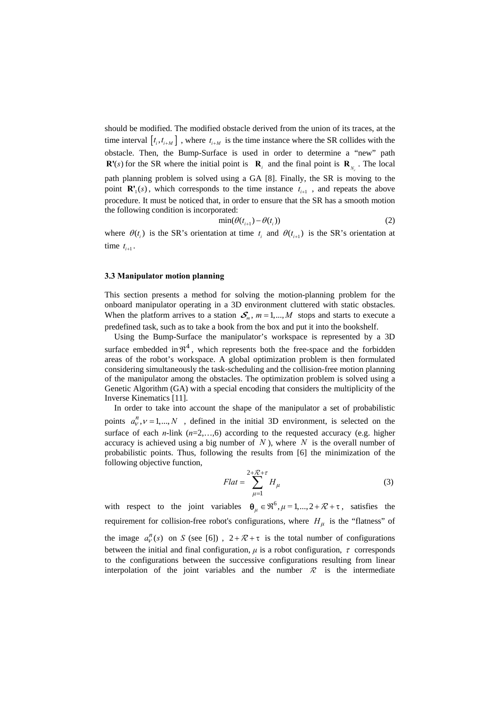should be modified. The modified obstacle derived from the union of its traces, at the time interval  $[t_i, t_{i+M}]$ , where  $t_{i+M}$  is the time instance where the SR collides with the obstacle. Then, the Bump-Surface is used in order to determine a "new" path **R'**(s) for the SR where the initial point is  $\mathbf{R}_i$  and the final point is  $\mathbf{R}_{N_c}$ . The local path planning problem is solved using a GA [8]. Finally, the SR is moving to the point  $\mathbf{R}'_1(s)$ , which corresponds to the time instance  $t_{i+1}$ , and repeats the above procedure. It must be noticed that, in order to ensure that the SR has a smooth motion the following condition is incorporated:

$$
\min(\theta(t_{i+1}) - \theta(t_i))
$$
\n(2)

where  $\theta(t_i)$  is the SR's orientation at time  $t_i$  and  $\theta(t_{i+1})$  is the SR's orientation at time  $t_{i+1}$ .

#### **3.3 Manipulator motion planning**

This section presents a method for solving the motion-planning problem for the onboard manipulator operating in a 3D environment cluttered with static obstacles. When the platform arrives to a station  $S_m$ ,  $m = 1,..., M$  stops and starts to execute a predefined task, such as to take a book from the box and put it into the bookshelf.

Using the Bump-Surface the manipulator's workspace is represented by a 3D surface embedded in  $\mathfrak{R}^4$ , which represents both the free-space and the forbidden areas of the robot's workspace. A global optimization problem is then formulated considering simultaneously the task-scheduling and the collision-free motion planning of the manipulator among the obstacles. The optimization problem is solved using a Genetic Algorithm (GA) with a special encoding that considers the multiplicity of the Inverse Kinematics [11].

In order to take into account the shape of the manipulator a set of probabilistic points  $a_n^h, v = 1,..., N$ , defined in the initial 3D environment, is selected on the surface of each  $n$ -link  $(n=2,...,6)$  according to the requested accuracy (e.g. higher accuracy is achieved using a big number of  $N$ ), where  $N$  is the overall number of probabilistic points. Thus, following the results from [6] the minimization of the following objective function,

$$
Flat = \sum_{\mu=1}^{2+\mathcal{R}+\tau} H_{\mu}
$$
 (3)

with respect to the joint variables  $\theta_{\mu} \in \mathbb{R}^{6}$ ,  $\mu = 1,...,2 + \mathcal{R} + \tau$ , satisfies the requirement for collision-free robot's configurations, where  $H_\mu$  is the "flatness" of the image  $a_v^n(s)$  on *S* (see [6]),  $2 + \mathcal{R} + \tau$  is the total number of configurations between the initial and final configuration,  $\mu$  is a robot configuration,  $\tau$  corresponds to the configurations between the successive configurations resulting from linear interpolation of the joint variables and the number  $\mathcal R$  is the intermediate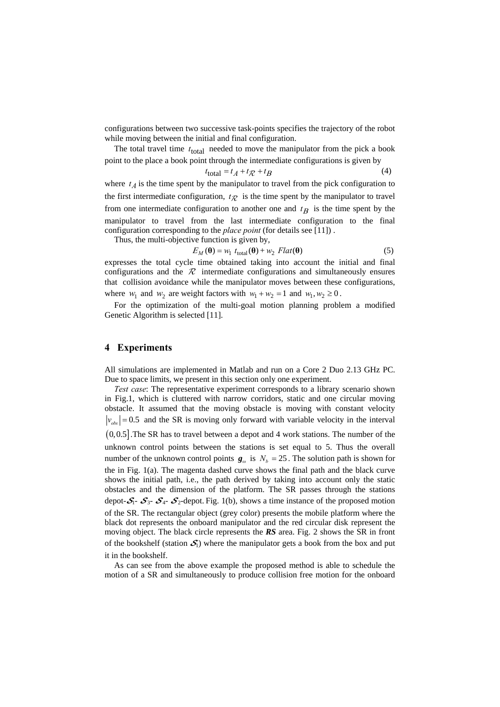configurations between two successive task-points specifies the trajectory of the robot while moving between the initial and final configuration.

The total travel time  $t_{total}$  needed to move the manipulator from the pick a book point to the place a book point through the intermediate configurations is given by

$$
t_{\text{total}} = t_A + t_{\mathcal{R}} + t_B \tag{4}
$$

where  $t_A$  is the time spent by the manipulator to travel from the pick configuration to the first intermediate configuration,  $t_{\mathcal{R}}$  is the time spent by the manipulator to travel from one intermediate configuration to another one and  $t<sub>R</sub>$  is the time spent by the manipulator to travel from the last intermediate configuration to the final configuration corresponding to the *place point* (for details see [11]) .

Thus, the multi-objective function is given by,

$$
E_M(\mathbf{\theta}) = w_1 \ t_{\text{total}}(\mathbf{\theta}) + w_2 \ Flat(\mathbf{\theta}) \tag{5}
$$

expresses the total cycle time obtained taking into account the initial and final configurations and the  $\mathcal R$  intermediate configurations and simultaneously ensures that collision avoidance while the manipulator moves between these configurations, where  $w_1$  and  $w_2$  are weight factors with  $w_1 + w_2 = 1$  and  $w_1, w_2 \ge 0$ .

For the optimization of the multi-goal motion planning problem a modified Genetic Algorithm is selected [11].

### **4 Experiments**

All simulations are implemented in Matlab and run on a Core 2 Duo 2.13 GHz PC. Due to space limits, we present in this section only one experiment.

*Test case*: The representative experiment corresponds to a library scenario shown in Fig.1, which is cluttered with narrow corridors, static and one circular moving obstacle. It assumed that the moving obstacle is moving with constant velocity  $|v_{obs}| = 0.5$  and the SR is moving only forward with variable velocity in the interval  $(0,0.5]$ . The SR has to travel between a depot and 4 work stations. The number of the unknown control points between the stations is set equal to 5. Thus the overall number of the unknown control points  $g_{n}$  is  $N_{b} = 25$ . The solution path is shown for the in Fig. 1(a). The magenta dashed curve shows the final path and the black curve shows the initial path, i.e., the path derived by taking into account only the static obstacles and the dimension of the platform. The SR passes through the stations depot- $S_1$ -  $S_3$ -  $S_4$ -  $S_2$ -depot. Fig. 1(b), shows a time instance of the proposed motion of the SR. The rectangular object (grey color) presents the mobile platform where the black dot represents the onboard manipulator and the red circular disk represent the moving object. The black circle represents the *RS* area. Fig. 2 shows the SR in front of the bookshelf (station  $S_1$ ) where the manipulator gets a book from the box and put it in the bookshelf.

As can see from the above example the proposed method is able to schedule the motion of a SR and simultaneously to produce collision free motion for the onboard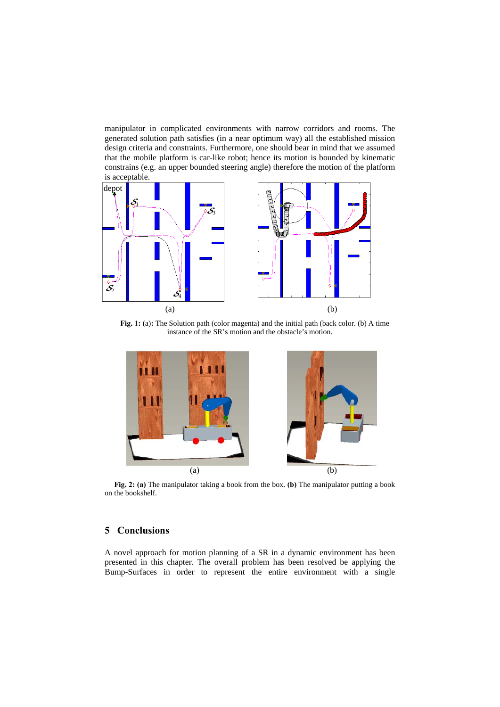manipulator in complicated environments with narrow corridors and rooms. The generated solution path satisfies (in a near optimum way) all the established mission design criteria and constraints. Furthermore, one should bear in mind that we assumed that the mobile platform is car-like robot; hence its motion is bounded by kinematic constrains (e.g. an upper bounded steering angle) therefore the motion of the platform is acceptable.



**Fig. 1:** (a): The Solution path (color magenta) and the initial path (back color. (b) A time instance of the SR's motion and the obstacle's motion.



**Fig. 2: (a)** The manipulator taking a book from the box. **(b)** The manipulator putting a book on the bookshelf.

# **5 Conclusions**

A novel approach for motion planning of a SR in a dynamic environment has been presented in this chapter. The overall problem has been resolved be applying the Bump-Surfaces in order to represent the entire environment with a single